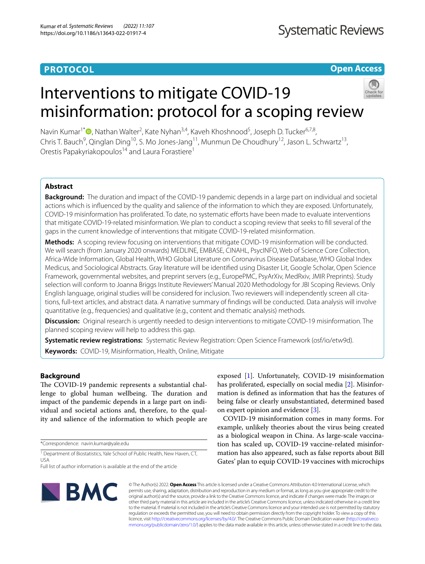# **PROTOCOL**

# **Open Access**

# Interventions to mitigate COVID-19 misinformation: protocol for a scoping review



Navin Kumar<sup>1[\\*](http://orcid.org/0000-0003-4502-069X)</sup><sup>®</sup>, Nathan Walter<sup>2</sup>, Kate Nyhan<sup>3,4</sup>, Kaveh Khoshnood<sup>5</sup>, Joseph D. Tucker<sup>6,7,8</sup>, Chris T. Bauch<sup>9</sup>, Qinglan Ding<sup>10</sup>, S. Mo Jones-Jang<sup>11</sup>, Munmun De Choudhury<sup>12</sup>, Jason L. Schwartz<sup>13</sup>, Orestis Papakyriakopoulos<sup>14</sup> and Laura Forastiere<sup>1</sup>

# **Abstract**

**Background:** The duration and impact of the COVID-19 pandemic depends in a large part on individual and societal actions which is infuenced by the quality and salience of the information to which they are exposed. Unfortunately, COVID-19 misinformation has proliferated. To date, no systematic eforts have been made to evaluate interventions that mitigate COVID-19-related misinformation. We plan to conduct a scoping review that seeks to fll several of the gaps in the current knowledge of interventions that mitigate COVID-19-related misinformation.

**Methods:** A scoping review focusing on interventions that mitigate COVID-19 misinformation will be conducted. We will search (from January 2020 onwards) MEDLINE, EMBASE, CINAHL, PsycINFO, Web of Science Core Collection, Africa-Wide Information, Global Health, WHO Global Literature on Coronavirus Disease Database, WHO Global Index Medicus, and Sociological Abstracts. Gray literature will be identifed using Disaster Lit, Google Scholar, Open Science Framework, governmental websites, and preprint servers (e.g., EuropePMC, PsyArXiv, MedRxiv, JMIR Preprints). Study selection will conform to Joanna Briggs Institute Reviewers' Manual 2020 Methodology for JBI Scoping Reviews. Only English language, original studies will be considered for inclusion. Two reviewers will independently screen all citations, full-text articles, and abstract data. A narrative summary of fndings will be conducted. Data analysis will involve quantitative (e.g., frequencies) and qualitative (e.g., content and thematic analysis) methods.

**Discussion:** Original research is urgently needed to design interventions to mitigate COVID-19 misinformation. The planned scoping review will help to address this gap.

**Systematic review registrations:** Systematic Review Registration: Open Science Framework (osf/io/etw9d). **Keywords:** COVID-19, Misinformation, Health, Online, Mitigate

# **Background**

The COVID-19 pandemic represents a substantial challenge to global human wellbeing. The duration and impact of the pandemic depends in a large part on individual and societal actions and, therefore, to the quality and salience of the information to which people are

\*Correspondence: navin.kumar@yale.edu

<sup>1</sup> Department of Biostatistics, Yale School of Public Health, New Haven, CT, USA

exposed [\[1\]](#page-4-0). Unfortunately, COVID-19 misinformation has proliferated, especially on social media [[2\]](#page-4-1). Misinformation is defned as information that has the features of being false or clearly unsubstantiated, determined based on expert opinion and evidence [[3\]](#page-4-2).

COVID-19 misinformation comes in many forms. For example, unlikely theories about the virus being created as a biological weapon in China. As large-scale vaccination has scaled up, COVID-19 vaccine-related misinformation has also appeared, such as false reports about Bill Gates' plan to equip COVID-19 vaccines with microchips



© The Author(s) 2022. **Open Access** This article is licensed under a Creative Commons Attribution 4.0 International License, which permits use, sharing, adaptation, distribution and reproduction in any medium or format, as long as you give appropriate credit to the original author(s) and the source, provide a link to the Creative Commons licence, and indicate if changes were made. The images or other third party material in this article are included in the article's Creative Commons licence, unless indicated otherwise in a credit line to the material. If material is not included in the article's Creative Commons licence and your intended use is not permitted by statutory regulation or exceeds the permitted use, you will need to obtain permission directly from the copyright holder. To view a copy of this licence, visit [http://creativecommons.org/licenses/by/4.0/.](http://creativecommons.org/licenses/by/4.0/) The Creative Commons Public Domain Dedication waiver ([http://creativeco](http://creativecommons.org/publicdomain/zero/1.0/) [mmons.org/publicdomain/zero/1.0/](http://creativecommons.org/publicdomain/zero/1.0/)) applies to the data made available in this article, unless otherwise stated in a credit line to the data.

Full list of author information is available at the end of the article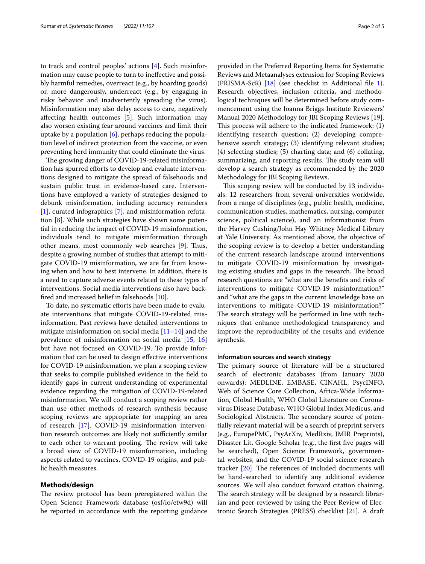to track and control peoples' actions [[4\]](#page-4-3). Such misinformation may cause people to turn to inefective and possibly harmful remedies, overreact (e.g., by hoarding goods) or, more dangerously, underreact (e.g., by engaging in risky behavior and inadvertently spreading the virus). Misinformation may also delay access to care, negatively afecting health outcomes [\[5](#page-4-4)]. Such information may also worsen existing fear around vaccines and limit their uptake by a population  $[6]$  $[6]$ , perhaps reducing the population level of indirect protection from the vaccine, or even preventing herd immunity that could eliminate the virus.

The growing danger of COVID-19-related misinformation has spurred efforts to develop and evaluate interventions designed to mitigate the spread of falsehoods and sustain public trust in evidence-based care. Interventions have employed a variety of strategies designed to debunk misinformation, including accuracy reminders [[1\]](#page-4-0), curated infographics [\[7](#page-4-6)], and misinformation refutation [[8\]](#page-4-7). While such strategies have shown some potential in reducing the impact of COVID-19 misinformation, individuals tend to mitigate misinformation through other means, most commonly web searches [\[9](#page-4-8)]. Thus, despite a growing number of studies that attempt to mitigate COVID-19 misinformation, we are far from knowing when and how to best intervene. In addition, there is a need to capture adverse events related to these types of interventions. Social media interventions also have backfred and increased belief in falsehoods [[10\]](#page-4-9).

To date, no systematic efforts have been made to evaluate interventions that mitigate COVID-19-related misinformation. Past reviews have detailed interventions to mitigate misinformation on social media  $[11-14]$  $[11-14]$  $[11-14]$  and the prevalence of misinformation on social media [\[15,](#page-4-12) [16](#page-4-13)] but have not focused on COVID-19. To provide information that can be used to design efective interventions for COVID-19 misinformation, we plan a scoping review that seeks to compile published evidence in the feld to identify gaps in current understanding of experimental evidence regarding the mitigation of COVID-19-related misinformation. We will conduct a scoping review rather than use other methods of research synthesis because scoping reviews are appropriate for mapping an area of research [[17\]](#page-4-14). COVID-19 misinformation intervention research outcomes are likely not sufficiently similar to each other to warrant pooling. The review will take a broad view of COVID-19 misinformation, including aspects related to vaccines, COVID-19 origins, and public health measures.

# **Methods/design**

The review protocol has been preregistered within the Open Science Framework database (osf/io/etw9d) will be reported in accordance with the reporting guidance

provided in the Preferred Reporting Items for Systematic Reviews and Metaanalyses extension for Scoping Reviews (PRISMA-ScR) [[18\]](#page-4-15) (see checklist in Additional fle [1](#page-3-0)). Research objectives, inclusion criteria, and methodological techniques will be determined before study commencement using the Joanna Briggs Institute Reviewers' Manual 2020 Methodology for JBI Scoping Reviews [\[19](#page-4-16)]. This process will adhere to the indicated framework:  $(1)$ identifying research question; (2) developing comprehensive search strategy; (3) identifying relevant studies; (4) selecting studies; (5) charting data; and (6) collating, summarizing, and reporting results. The study team will develop a search strategy as recommended by the 2020 Methodology for JBI Scoping Reviews.

This scoping review will be conducted by 13 individuals: 12 researchers from several universities worldwide, from a range of disciplines (e.g., public health, medicine, communication studies, mathematics, nursing, computer science, political science), and an informationist from the Harvey Cushing/John Hay Whitney Medical Library at Yale University. As mentioned above, the objective of the scoping review is to develop a better understanding of the current research landscape around interventions to mitigate COVID-19 misinformation by investigating existing studies and gaps in the research. The broad research questions are "what are the benefts and risks of interventions to mitigate COVID-19 misinformation?" and "what are the gaps in the current knowledge base on interventions to mitigate COVID-19 misinformation?" The search strategy will be performed in line with techniques that enhance methodological transparency and improve the reproducibility of the results and evidence synthesis.

# **Information sources and search strategy**

The primary source of literature will be a structured search of electronic databases (from January 2020 onwards): MEDLINE, EMBASE, CINAHL, PsycINFO, Web of Science Core Collection, Africa-Wide Information, Global Health, WHO Global Literature on Coronavirus Disease Database, WHO Global Index Medicus, and Sociological Abstracts. The secondary source of potentially relevant material will be a search of preprint servers (e.g., EuropePMC, PsyArXiv, MedRxiv, JMIR Preprints), Disaster Lit, Google Scholar (e.g., the frst fve pages will be searched), Open Science Framework, governmental websites, and the COVID-19 social science research tracker  $[20]$  $[20]$ . The references of included documents will be hand-searched to identify any additional evidence sources. We will also conduct forward citation chaining. The search strategy will be designed by a research librarian and peer-reviewed by using the Peer Review of Electronic Search Strategies (PRESS) checklist [[21\]](#page-4-18). A draft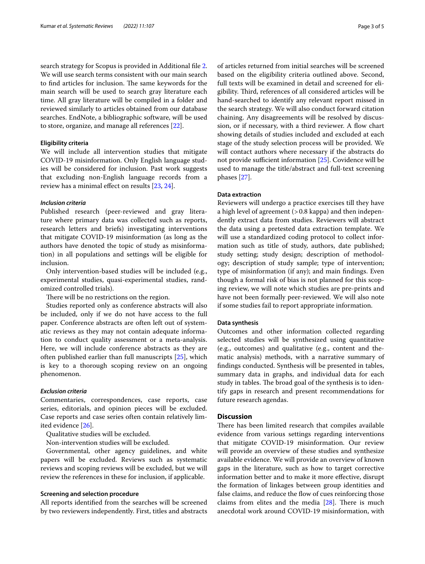search strategy for Scopus is provided in Additional fle [2](#page-3-1). We will use search terms consistent with our main search to find articles for inclusion. The same keywords for the main search will be used to search gray literature each time. All gray literature will be compiled in a folder and reviewed similarly to articles obtained from our database searches. EndNote, a bibliographic software, will be used to store, organize, and manage all references [\[22](#page-4-19)].

# **Eligibility criteria**

We will include all intervention studies that mitigate COVID-19 misinformation. Only English language studies will be considered for inclusion. Past work suggests that excluding non-English language records from a review has a minimal efect on results [[23,](#page-4-20) [24\]](#page-4-21).

# *Inclusion criteria*

Published research (peer-reviewed and gray literature where primary data was collected such as reports, research letters and briefs) investigating interventions that mitigate COVID-19 misinformation (as long as the authors have denoted the topic of study as misinformation) in all populations and settings will be eligible for inclusion.

Only intervention-based studies will be included (e.g., experimental studies, quasi-experimental studies, randomized controlled trials).

There will be no restrictions on the region.

Studies reported only as conference abstracts will also be included, only if we do not have access to the full paper. Conference abstracts are often left out of systematic reviews as they may not contain adequate information to conduct quality assessment or a meta-analysis. Here, we will include conference abstracts as they are often published earlier than full manuscripts [[25](#page-4-22)], which is key to a thorough scoping review on an ongoing phenomenon.

## *Exclusion criteria*

Commentaries, correspondences, case reports, case series, editorials, and opinion pieces will be excluded. Case reports and case series often contain relatively limited evidence [\[26\]](#page-4-23).

Qualitative studies will be excluded.

Non-intervention studies will be excluded.

Governmental, other agency guidelines, and white papers will be excluded. Reviews such as systematic reviews and scoping reviews will be excluded, but we will review the references in these for inclusion, if applicable.

# **Screening and selection procedure**

All reports identifed from the searches will be screened by two reviewers independently. First, titles and abstracts of articles returned from initial searches will be screened based on the eligibility criteria outlined above. Second, full texts will be examined in detail and screened for eligibility. Third, references of all considered articles will be hand-searched to identify any relevant report missed in the search strategy. We will also conduct forward citation chaining. Any disagreements will be resolved by discussion, or if necessary, with a third reviewer. A flow chart showing details of studies included and excluded at each stage of the study selection process will be provided. We will contact authors where necessary if the abstracts do not provide sufficient information [[25\]](#page-4-22). Covidence will be used to manage the title/abstract and full-text screening phases [[27](#page-4-24)].

# **Data extraction**

Reviewers will undergo a practice exercises till they have a high level of agreement (*>*0.8 kappa) and then independently extract data from studies. Reviewers will abstract the data using a pretested data extraction template. We will use a standardized coding protocol to collect information such as title of study, authors, date published; study setting; study design; description of methodology; description of study sample; type of intervention; type of misinformation (if any); and main fndings. Even though a formal risk of bias is not planned for this scoping review, we will note which studies are pre-prints and have not been formally peer-reviewed. We will also note if some studies fail to report appropriate information.

# **Data synthesis**

Outcomes and other information collected regarding selected studies will be synthesized using quantitative (e.g., outcomes) and qualitative (e.g., content and thematic analysis) methods, with a narrative summary of fndings conducted. Synthesis will be presented in tables, summary data in graphs, and individual data for each study in tables. The broad goal of the synthesis is to identify gaps in research and present recommendations for future research agendas.

# **Discussion**

There has been limited research that compiles available evidence from various settings regarding interventions that mitigate COVID-19 misinformation. Our review will provide an overview of these studies and synthesize available evidence. We will provide an overview of known gaps in the literature, such as how to target corrective information better and to make it more efective, disrupt the formation of linkages between group identities and false claims, and reduce the flow of cues reinforcing those claims from elites and the media  $[28]$  $[28]$ . There is much anecdotal work around COVID-19 misinformation, with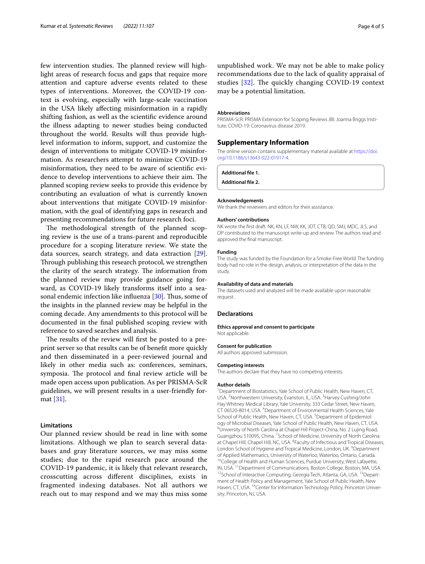few intervention studies. The planned review will highlight areas of research focus and gaps that require more attention and capture adverse events related to these types of interventions. Moreover, the COVID-19 context is evolving, especially with large-scale vaccination in the USA likely afecting misinformation in a rapidly shifting fashion, as well as the scientifc evidence around the illness adapting to newer studies being conducted throughout the world. Results will thus provide highlevel information to inform, support, and customize the design of interventions to mitigate COVID-19 misinformation. As researchers attempt to minimize COVID-19 misinformation, they need to be aware of scientifc evidence to develop interventions to achieve their aim. The planned scoping review seeks to provide this evidence by contributing an evaluation of what is currently known about interventions that mitigate COVID-19 misinformation, with the goal of identifying gaps in research and presenting recommendations for future research foci.

The methodological strength of the planned scoping review is the use of a trans-parent and reproducible procedure for a scoping literature review. We state the data sources, search strategy, and data extraction [\[29](#page-4-26)]. Through publishing this research protocol, we strengthen the clarity of the search strategy. The information from the planned review may provide guidance going forward, as COVID-19 likely transforms itself into a sea-sonal endemic infection like influenza [\[30](#page-4-27)]. Thus, some of the insights in the planned review may be helpful in the coming decade. Any amendments to this protocol will be documented in the fnal published scoping review with reference to saved searches and analysis.

The results of the review will first be posted to a preprint server so that results can be of beneft more quickly and then disseminated in a peer-reviewed journal and likely in other media such as: conferences, seminars, symposia. The protocol and final review article will be made open access upon publication. As per PRISMA-ScR guidelines, we will present results in a user-friendly format [\[31\]](#page-4-28).

# **Limitations**

Our planned review should be read in line with some limitations. Although we plan to search several databases and gray literature sources, we may miss some studies; due to the rapid research pace around the COVID-19 pandemic, it is likely that relevant research, crosscutting across diferent disciplines, exists in fragmented indexing databases. Not all authors we reach out to may respond and we may thus miss some

unpublished work. We may not be able to make policy recommendations due to the lack of quality appraisal of studies  $[32]$  $[32]$ . The quickly changing COVID-19 context may be a potential limitation.

## **Abbreviations**

PRISMA-ScR: PRISMA Extension for Scoping Reviews JBI: Joanna Briggs Institute; COVID-19: Coronavirus disease 2019.

# **Supplementary Information**

The online version contains supplementary material available at [https://doi.](https://doi.org/10.1186/s13643-022-01917-4) [org/10.1186/s13643-022-01917-4](https://doi.org/10.1186/s13643-022-01917-4).

<span id="page-3-1"></span><span id="page-3-0"></span>**Additional fle 1.**

**Additional fle 2.**

#### **Acknowledgements**

We thank the reviewers and editors for their assistance.

#### **Authors' contributions**

NK wrote the frst draft. NK, KN, LF, NW, KK, JDT, CTB, QD, SMJ, MDC, JLS, and OP contributed to the manuscript write-up and review. The authors read and approved the fnal manuscript.

#### **Funding**

The study was funded by the Foundation for a Smoke-Free World. The funding body had no role in the design, analysis, or interpretation of the data in the study.

#### **Availability of data and materials**

The datasets used and analyzed will be made available upon reasonable request.

# **Declarations**

#### **Ethics approval and consent to participate**

Not applicable.

## **Consent for publication**

All authors approved submission.

#### **Competing interests**

The authors declare that they have no competing interests.

## **Author details**

<sup>1</sup> Department of Biostatistics, Yale School of Public Health, New Haven, CT, USA. <sup>2</sup> Northwestern University, Evanston, IL, USA. <sup>3</sup> Harvey Cushing/John Hay Whitney Medical Library, Yale University, 333 Cedar Street, New Haven, CT 06520-8014, USA. <sup>4</sup> Department of Environmental Health Sciences, Yale School of Public Health, New Haven, CT, USA.<sup>5</sup> Department of Epidemiology of Microbial Diseases, Yale School of Public Health, New Haven, CT, USA. 6 University of North Carolina at Chapel Hill Project-China, No. 2 Lujing Road, Guangzhou 510095, China. <sup>7</sup> School of Medicine, University of North Carolina at Chapel Hill, Chapel Hill, NC, USA. <sup>8</sup> Faculty of Infectious and Tropical Diseases, London School of Hygiene and Tropical Medicine, London, UK. <sup>9</sup> Department of Applied Mathematics, University of Waterloo, Waterloo, Ontario, Canada.<br><sup>10</sup>College of Health and Human Sciences, Purdue University, West Lafayette, IN, USA. <sup>11</sup> Department of Communications, Boston College, Boston, MA <sup>12</sup>School of Interactive Computing, Georgia Tech, Atlanta, GA, USA. <sup>13</sup>Department of Health Policy and Management, Yale School of Public Health, New Haven, CT, USA. <sup>14</sup>Center for Information Technology Policy, Princeton University, Princeton, NJ, USA.